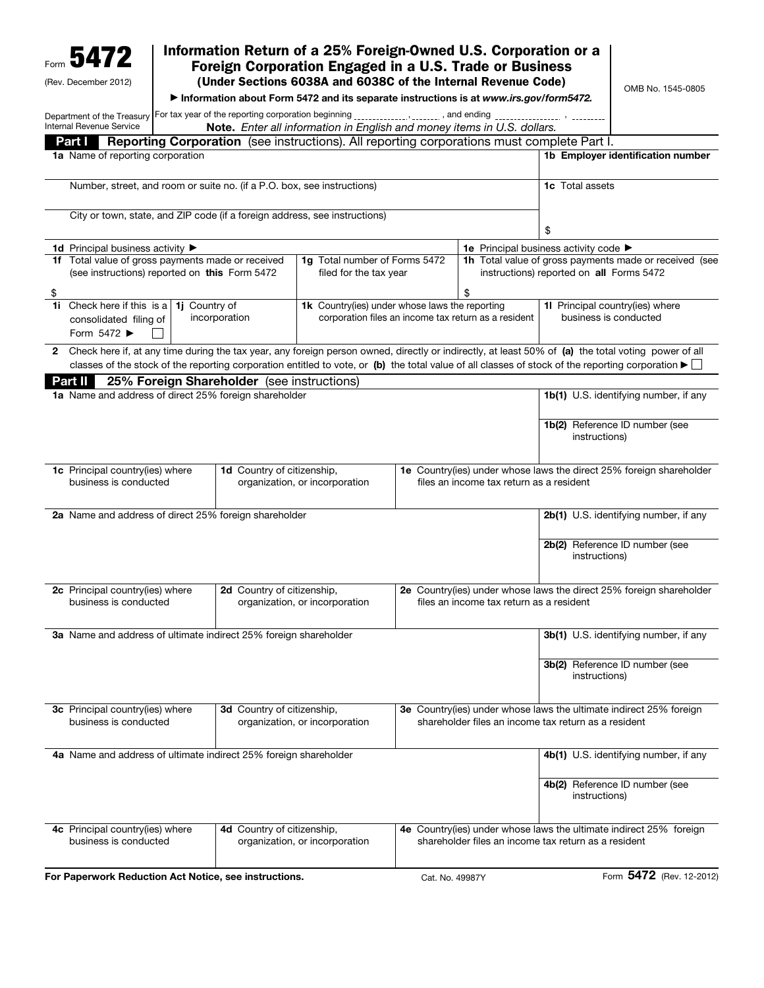| 5472<br>(Rev. December 2012)                                                                                                           |                                                                                                                          |                                            | Information Return of a 25% Foreign-Owned U.S. Corporation or a<br>Foreign Corporation Engaged in a U.S. Trade or Business<br>(Under Sections 6038A and 6038C of the Internal Revenue Code) |                 |                                                                                                                 |                                                          | OMB No. 1545-0805                                                                                                                                                                                                                                                                                                            |
|----------------------------------------------------------------------------------------------------------------------------------------|--------------------------------------------------------------------------------------------------------------------------|--------------------------------------------|---------------------------------------------------------------------------------------------------------------------------------------------------------------------------------------------|-----------------|-----------------------------------------------------------------------------------------------------------------|----------------------------------------------------------|------------------------------------------------------------------------------------------------------------------------------------------------------------------------------------------------------------------------------------------------------------------------------------------------------------------------------|
|                                                                                                                                        |                                                                                                                          |                                            | Information about Form 5472 and its separate instructions is at www.irs.gov/form5472.                                                                                                       |                 |                                                                                                                 |                                                          |                                                                                                                                                                                                                                                                                                                              |
| Department of the Treasury For tax year of the reporting corporation beginning _____________, _______, and ending ____________________ |                                                                                                                          |                                            |                                                                                                                                                                                             |                 |                                                                                                                 |                                                          |                                                                                                                                                                                                                                                                                                                              |
| Internal Revenue Service                                                                                                               |                                                                                                                          |                                            | Note. Enter all information in English and money items in U.S. dollars.                                                                                                                     |                 |                                                                                                                 |                                                          |                                                                                                                                                                                                                                                                                                                              |
| Part I<br>1a Name of reporting corporation                                                                                             |                                                                                                                          |                                            | <b>Reporting Corporation</b> (see instructions). All reporting corporations must complete Part I.                                                                                           |                 |                                                                                                                 |                                                          | 1b Employer identification number                                                                                                                                                                                                                                                                                            |
|                                                                                                                                        |                                                                                                                          |                                            |                                                                                                                                                                                             |                 |                                                                                                                 |                                                          |                                                                                                                                                                                                                                                                                                                              |
| Number, street, and room or suite no. (if a P.O. box, see instructions)                                                                |                                                                                                                          |                                            |                                                                                                                                                                                             |                 | <b>1c</b> Total assets                                                                                          |                                                          |                                                                                                                                                                                                                                                                                                                              |
|                                                                                                                                        |                                                                                                                          |                                            |                                                                                                                                                                                             |                 |                                                                                                                 |                                                          |                                                                                                                                                                                                                                                                                                                              |
|                                                                                                                                        |                                                                                                                          |                                            | City or town, state, and ZIP code (if a foreign address, see instructions)                                                                                                                  |                 |                                                                                                                 | \$                                                       |                                                                                                                                                                                                                                                                                                                              |
|                                                                                                                                        |                                                                                                                          |                                            |                                                                                                                                                                                             |                 | 1e Principal business activity code ▶                                                                           |                                                          |                                                                                                                                                                                                                                                                                                                              |
| <b>1d</b> Principal business activity ▶<br>1f Total value of gross payments made or received                                           |                                                                                                                          |                                            | 1g Total number of Forms 5472                                                                                                                                                               |                 |                                                                                                                 |                                                          | 1h Total value of gross payments made or received (see                                                                                                                                                                                                                                                                       |
| (see instructions) reported on this Form 5472                                                                                          |                                                                                                                          |                                            | filed for the tax year                                                                                                                                                                      |                 |                                                                                                                 | instructions) reported on all Forms 5472                 |                                                                                                                                                                                                                                                                                                                              |
| \$<br>Check here if this is a<br>1i.                                                                                                   |                                                                                                                          |                                            |                                                                                                                                                                                             |                 | \$                                                                                                              |                                                          |                                                                                                                                                                                                                                                                                                                              |
| Form 5472 ▶                                                                                                                            | 1j Country of<br>incorporation<br>consolidated filing of                                                                 |                                            | 1k Country(ies) under whose laws the reporting<br>corporation files an income tax return as a resident                                                                                      |                 |                                                                                                                 | 11 Principal country(ies) where<br>business is conducted |                                                                                                                                                                                                                                                                                                                              |
|                                                                                                                                        |                                                                                                                          |                                            |                                                                                                                                                                                             |                 |                                                                                                                 |                                                          | Check here if, at any time during the tax year, any foreign person owned, directly or indirectly, at least 50% of (a) the total voting power of all<br>classes of the stock of the reporting corporation entitled to vote, or (b) the total value of all classes of stock of the reporting corporation $\blacktriangleright$ |
| Part II<br>1a Name and address of direct 25% foreign shareholder                                                                       |                                                                                                                          | 25% Foreign Shareholder (see instructions) |                                                                                                                                                                                             |                 |                                                                                                                 |                                                          | <b>1b(1)</b> U.S. identifying number, if any                                                                                                                                                                                                                                                                                 |
|                                                                                                                                        |                                                                                                                          |                                            |                                                                                                                                                                                             |                 |                                                                                                                 | instructions)                                            | 1b(2) Reference ID number (see                                                                                                                                                                                                                                                                                               |
| 1c Principal country(ies) where<br>1d Country of citizenship,<br>business is conducted<br>organization, or incorporation               |                                                                                                                          |                                            | 1e Country(ies) under whose laws the direct 25% foreign shareholder<br>files an income tax return as a resident                                                                             |                 |                                                                                                                 |                                                          |                                                                                                                                                                                                                                                                                                                              |
| 2a Name and address of direct 25% foreign shareholder                                                                                  |                                                                                                                          |                                            |                                                                                                                                                                                             |                 |                                                                                                                 |                                                          | 2b(1) U.S. identifying number, if any                                                                                                                                                                                                                                                                                        |
|                                                                                                                                        |                                                                                                                          |                                            |                                                                                                                                                                                             |                 |                                                                                                                 | instructions)                                            | 2b(2) Reference ID number (see                                                                                                                                                                                                                                                                                               |
|                                                                                                                                        | 2d Country of citizenship,<br>2c Principal country(ies) where<br>organization, or incorporation<br>business is conducted |                                            |                                                                                                                                                                                             |                 | 2e Country(ies) under whose laws the direct 25% foreign shareholder<br>files an income tax return as a resident |                                                          |                                                                                                                                                                                                                                                                                                                              |
| 3a Name and address of ultimate indirect 25% foreign shareholder                                                                       |                                                                                                                          |                                            |                                                                                                                                                                                             |                 |                                                                                                                 | 3b(1) U.S. identifying number, if any                    |                                                                                                                                                                                                                                                                                                                              |
|                                                                                                                                        |                                                                                                                          |                                            |                                                                                                                                                                                             |                 |                                                                                                                 | instructions)                                            | 3b(2) Reference ID number (see                                                                                                                                                                                                                                                                                               |
| 3d Country of citizenship,<br>3c Principal country(ies) where<br>business is conducted<br>organization, or incorporation               |                                                                                                                          |                                            | 3e Country(ies) under whose laws the ultimate indirect 25% foreign<br>shareholder files an income tax return as a resident                                                                  |                 |                                                                                                                 |                                                          |                                                                                                                                                                                                                                                                                                                              |
| 4a Name and address of ultimate indirect 25% foreign shareholder                                                                       |                                                                                                                          |                                            |                                                                                                                                                                                             |                 |                                                                                                                 |                                                          | 4b(1) U.S. identifying number, if any                                                                                                                                                                                                                                                                                        |
|                                                                                                                                        |                                                                                                                          |                                            |                                                                                                                                                                                             |                 |                                                                                                                 | instructions)                                            | 4b(2) Reference ID number (see                                                                                                                                                                                                                                                                                               |
| 4c Principal country(ies) where<br>business is conducted                                                                               |                                                                                                                          | 4d Country of citizenship,                 | organization, or incorporation                                                                                                                                                              |                 | shareholder files an income tax return as a resident                                                            |                                                          | 4e Country(ies) under whose laws the ultimate indirect 25% foreign                                                                                                                                                                                                                                                           |
| For Paperwork Reduction Act Notice, see instructions.                                                                                  |                                                                                                                          |                                            |                                                                                                                                                                                             | Cat. No. 49987Y |                                                                                                                 |                                                          | Form 5472 (Rev. 12-2012)                                                                                                                                                                                                                                                                                                     |